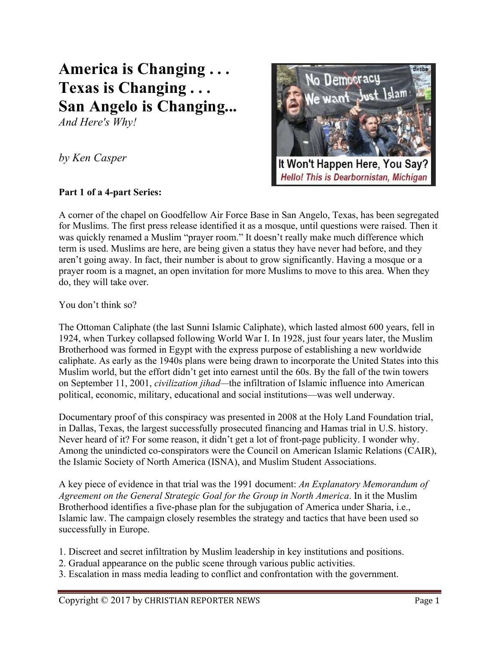## **America is Changing . . . Texas is Changing . . . San Angelo is Changing...**

*And Here's Why!*

*by Ken Casper*

## **Part 1 of a 4-part Series:**



A corner of the chapel on Goodfellow Air Force Base in San Angelo, Texas, has been segregated for Muslims. The first press release identified it as a mosque, until questions were raised. Then it was quickly renamed a Muslim "prayer room." It doesn't really make much difference which term is used. Muslims are here, are being given a status they have never had before, and they aren't going away. In fact, their number is about to grow significantly. Having a mosque or a prayer room is a magnet, an open invitation for more Muslims to move to this area. When they do, they will take over.

You don't think so?

The Ottoman Caliphate (the last Sunni Islamic Caliphate), which lasted almost 600 years, fell in 1924, when Turkey collapsed following World War I. In 1928, just four years later, the Muslim Brotherhood was formed in Egypt with the express purpose of establishing a new worldwide caliphate. As early as the 1940s plans were being drawn to incorporate the United States into this Muslim world, but the effort didn't get into earnest until the 60s. By the fall of the twin towers on September 11, 2001, *civilization jihad—*the infiltration of Islamic influence into American political, economic, military, educational and social institutions—was well underway.

Documentary proof of this conspiracy was presented in 2008 at the Holy Land Foundation trial, in Dallas, Texas, the largest successfully prosecuted financing and Hamas trial in U.S. history. Never heard of it? For some reason, it didn't get a lot of front-page publicity. I wonder why. Among the unindicted co-conspirators were the Council on American Islamic Relations (CAIR), the Islamic Society of North America (ISNA), and Muslim Student Associations.

A key piece of evidence in that trial was the 1991 document: *An Explanatory Memorandum of Agreement on the General Strategic Goal for the Group in North America*. In it the Muslim Brotherhood identifies a five-phase plan for the subjugation of America under Sharia, i.e., Islamic law. The campaign closely resembles the strategy and tactics that have been used so successfully in Europe.

1. Discreet and secret infiltration by Muslim leadership in key institutions and positions.

- 2. Gradual appearance on the public scene through various public activities.
- 3. Escalation in mass media leading to conflict and confrontation with the government.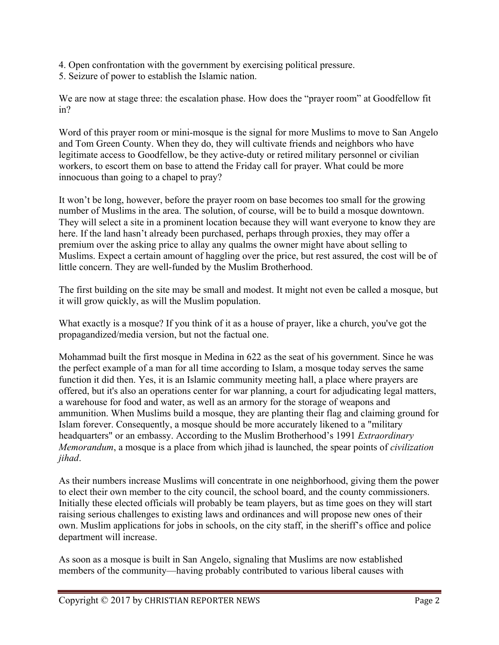- 4. Open confrontation with the government by exercising political pressure.
- 5. Seizure of power to establish the Islamic nation.

We are now at stage three: the escalation phase. How does the "prayer room" at Goodfellow fit in?

Word of this prayer room or mini-mosque is the signal for more Muslims to move to San Angelo and Tom Green County. When they do, they will cultivate friends and neighbors who have legitimate access to Goodfellow, be they active-duty or retired military personnel or civilian workers, to escort them on base to attend the Friday call for prayer. What could be more innocuous than going to a chapel to pray?

It won't be long, however, before the prayer room on base becomes too small for the growing number of Muslims in the area. The solution, of course, will be to build a mosque downtown. They will select a site in a prominent location because they will want everyone to know they are here. If the land hasn't already been purchased, perhaps through proxies, they may offer a premium over the asking price to allay any qualms the owner might have about selling to Muslims. Expect a certain amount of haggling over the price, but rest assured, the cost will be of little concern. They are well-funded by the Muslim Brotherhood.

The first building on the site may be small and modest. It might not even be called a mosque, but it will grow quickly, as will the Muslim population.

What exactly is a mosque? If you think of it as a house of prayer, like a church, you've got the propagandized/media version, but not the factual one.

Mohammad built the first mosque in Medina in 622 as the seat of his government. Since he was the perfect example of a man for all time according to Islam, a mosque today serves the same function it did then. Yes, it is an Islamic community meeting hall, a place where prayers are offered, but it's also an operations center for war planning, a court for adjudicating legal matters, a warehouse for food and water, as well as an armory for the storage of weapons and ammunition. When Muslims build a mosque, they are planting their flag and claiming ground for Islam forever. Consequently, a mosque should be more accurately likened to a "military headquarters" or an embassy. According to the Muslim Brotherhood's 1991 *Extraordinary Memorandum*, a mosque is a place from which jihad is launched, the spear points of *civilization jihad*.

As their numbers increase Muslims will concentrate in one neighborhood, giving them the power to elect their own member to the city council, the school board, and the county commissioners. Initially these elected officials will probably be team players, but as time goes on they will start raising serious challenges to existing laws and ordinances and will propose new ones of their own. Muslim applications for jobs in schools, on the city staff, in the sheriff's office and police department will increase.

As soon as a mosque is built in San Angelo, signaling that Muslims are now established members of the community—having probably contributed to various liberal causes with